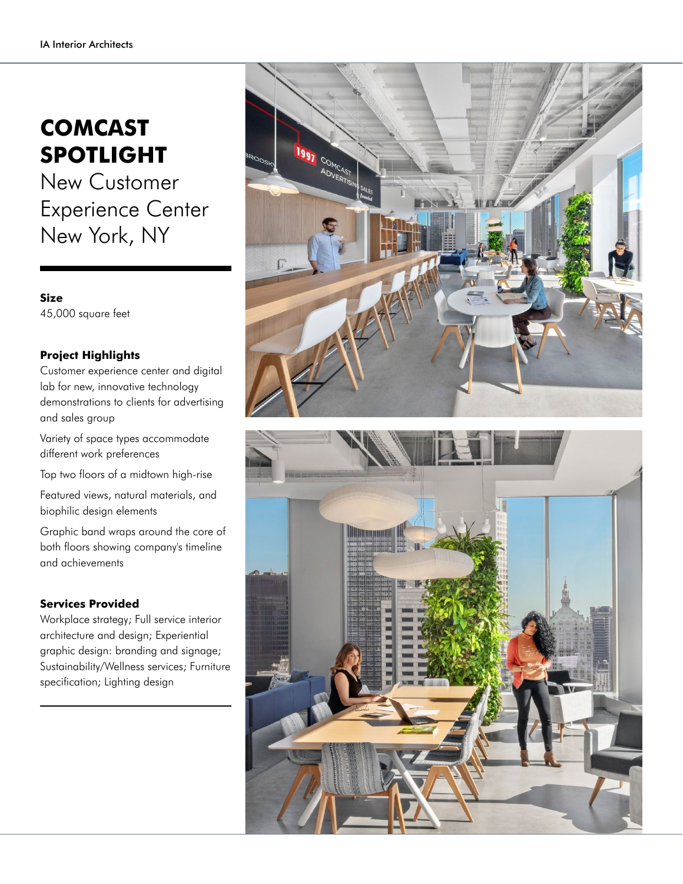## **COMCAST SPOTLIGHT**

New Customer Experience Center New York, NY

**Size** 45,000 square feet

## **Project Highlights**

Customer experience center and digital lab for new, innovative technology demonstrations to clients for advertising and sales group

Variety of space types accommodate different work preferences

Top two floors of a midtown high-rise

Featured views, natural materials, and biophilic design elements

Graphic band wraps around the core of both floors showing company's timeline and achievements

## **Services Provided**

Workplace strategy; Full service interior architecture and design; Experiential graphic design: branding and signage; Sustainability/Wellness services; Furniture specification; Lighting design